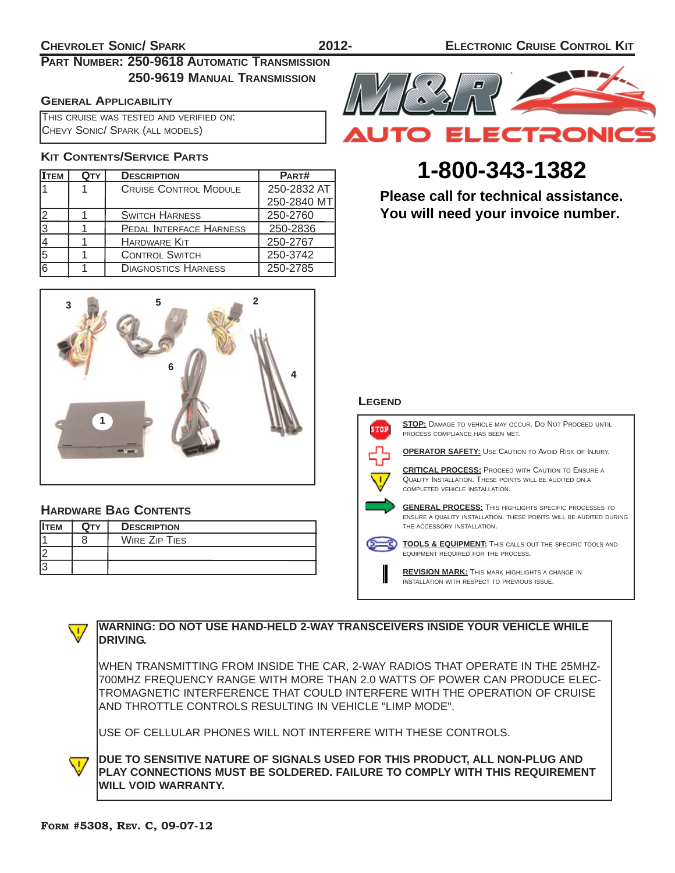# **PART NUMBER: 250-9618 AUTOMATIC TRANSMISSION 250-9619 MANUAL TRANSMISSION**

### **GENERAL APPLICABILITY**

THIS CRUISE WAS TESTED AND VERIFIED ON: CHEVY SONIC/ SPARK (ALL MODELS)

# **KIT CONTENTS/SERVICE PARTS**

| Ітем | <b>DESCRIPTION</b>           | PART#       |
|------|------------------------------|-------------|
|      | <b>CRUISE CONTROL MODULE</b> | 250-2832 AT |
|      |                              | 250-2840 MT |
|      | <b>SWITCH HARNESS</b>        | 250-2760    |
|      | PEDAL INTERFACE HARNESS      | 250-2836    |
|      | <b>HARDWARE KIT</b>          | 250-2767    |
| 5    | <b>CONTROL SWITCH</b>        | 250-3742    |
| 16   | <b>DIAGNOSTICS HARNESS</b>   | 250-2785    |



# **HARDWARE BAG CONTENTS**

| <b>IITEM</b> | Оту | <b>DESCRIPTION</b>   |
|--------------|-----|----------------------|
|              |     | <b>WIRE ZIP TIES</b> |
|              |     |                      |
|              |     |                      |



# **SPECIAL TOOLS 1-800-343-1382**

VOLT-OHM METER **Please call for technical assistance.** You will need your invoice number.

#### **LEGEND**



**STOP:** DAMAGE TO VEHICLE MAY OCCUR. DO NOT PROCEED UNTIL PROCESS COMPLIANCE HAS BEEN MET.

**OPERATOR SAFETY:** USE CAUTION TO AVOID RISK OF INJURY.

**CRITICAL PROCESS:** PROCEED WITH CAUTION TO ENSURE A QUALITY INSTALLATION. THESE POINTS WILL BE AUDITED ON A COMPLETED VEHICLE INSTALLATION.

**GENERAL PROCESS:** THIS HIGHLIGHTS SPECIFIC PROCESSES TO ENSURE A QUALITY INSTALLATION. THESE POINTS WILL BE AUDITED DURING THE ACCESSORY INSTALLATION.

**TOOLS & EQUIPMENT:** THIS CALLS OUT THE SPECIFIC TOOLS AND EQUIPMENT REQUIRED FOR THE PROCESS.

**REVISION MARK:** THIS MARK HIGHLIGHTS A CHANGE IN INSTALLATION WITH RESPECT TO PREVIOUS ISSUE.



### **WARNING: DO NOT USE HAND-HELD 2-WAY TRANSCEIVERS INSIDE YOUR VEHICLE WHILE DRIVING.**

WHEN TRANSMITTING FROM INSIDE THE CAR, 2-WAY RADIOS THAT OPERATE IN THE 25MHZ-700MHZ FREQUENCY RANGE WITH MORE THAN 2.0 WATTS OF POWER CAN PRODUCE ELEC-TROMAGNETIC INTERFERENCE THAT COULD INTERFERE WITH THE OPERATION OF CRUISE AND THROTTLE CONTROLS RESULTING IN VEHICLE "LIMP MODE".

USE OF CELLULAR PHONES WILL NOT INTERFERE WITH THESE CONTROLS.

**DUE TO SENSITIVE NATURE OF SIGNALS USED FOR THIS PRODUCT, ALL NON-PLUG AND**  $\overline{\mathsf{v}}$ **PLAY CONNECTIONS MUST BE SOLDERED. FAILURE TO COMPLY WITH THIS REQUIREMENT WILL VOID WARRANTY.**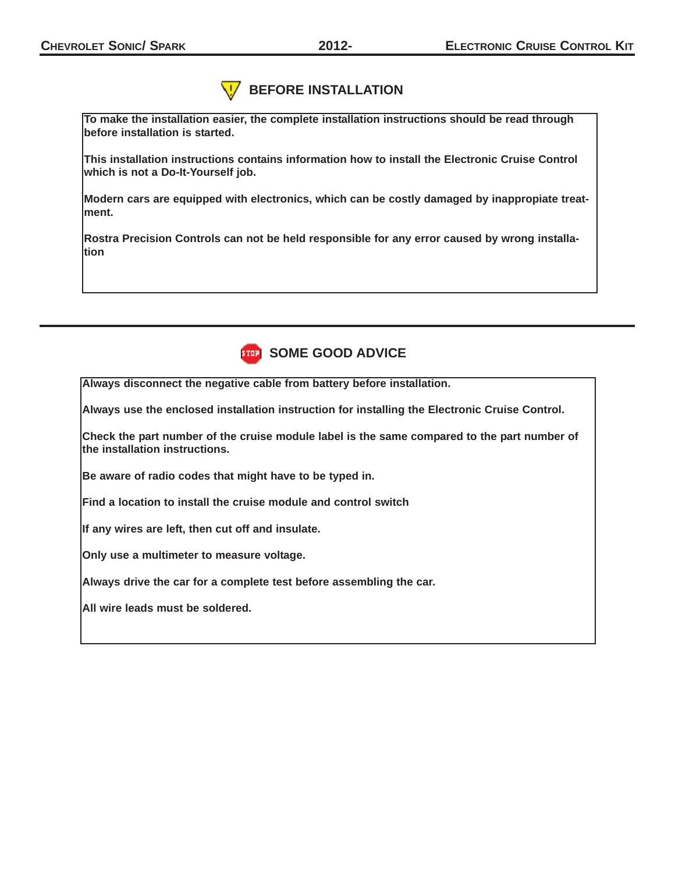# **BEFORE INSTALLATION**

**To make the installation easier, the complete installation instructions should be read through before installation is started.**

**This installation instructions contains information how to install the Electronic Cruise Control which is not a Do-It-Yourself job.**

**Modern cars are equipped with electronics, which can be costly damaged by inappropiate treatment.**

**Rostra Precision Controls can not be held responsible for any error caused by wrong installation**



**Always disconnect the negative cable from battery before installation.**

**Always use the enclosed installation instruction for installing the Electronic Cruise Control.**

**Check the part number of the cruise module label is the same compared to the part number of the installation instructions.**

**Be aware of radio codes that might have to be typed in.**

**Find a location to install the cruise module and control switch**

**If any wires are left, then cut off and insulate.**

**Only use a multimeter to measure voltage.**

**Always drive the car for a complete test before assembling the car.**

**All wire leads must be soldered.**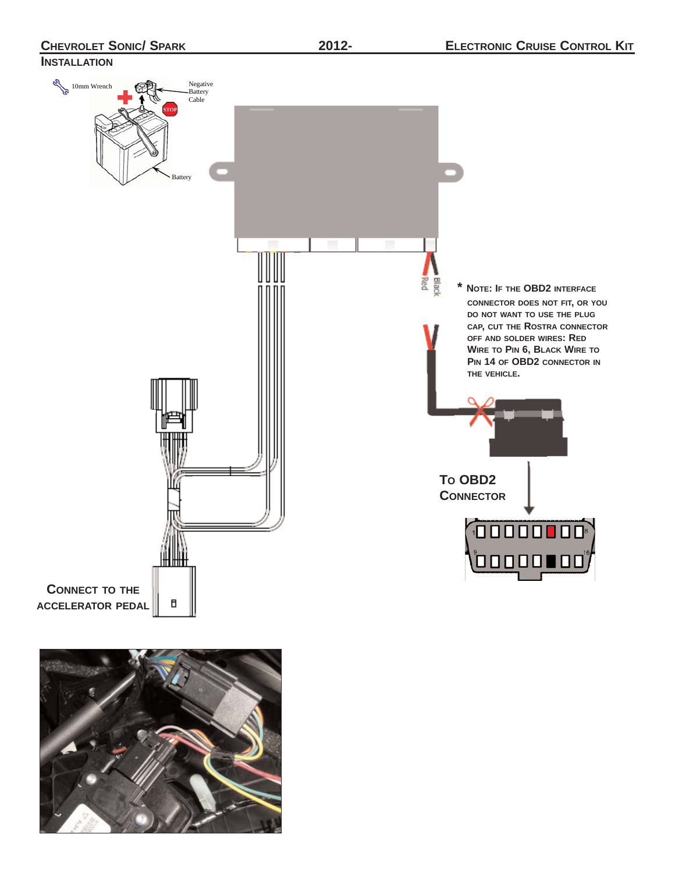**CHEVROLET SONIC/ SPARK 2012-**

**INSTALLATION**

# 10mm Wrench Negative Battery Battery Cable Battery **\* NOTE: IF THE OBD2 INTERFACE CONNECTOR DOES NOT FIT, OR YOU DO NOT WANT TO USE THE PLUG CAP, CUT THE ROSTRA CONNECTOR OFF AND SOLDER WIRES: RED WIRE TO PIN 6, BLACK WIRE TO PIN 14 OF OBD2 CONNECTOR IN THE VEHICLE.**O **TO OBD2 CONNECTOR**  $10000000$ , ooooo oo **CONNECT TO THE** B **ACCELERATOR PEDAL**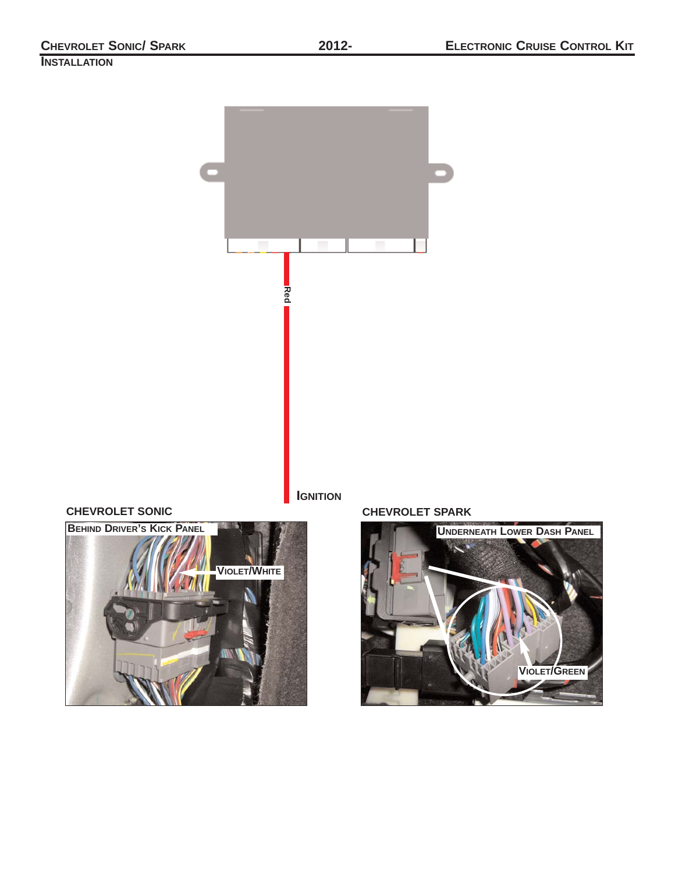# **INSTALLATION**





# **CHEVROLET SONIC CHEVROLET SPARK**